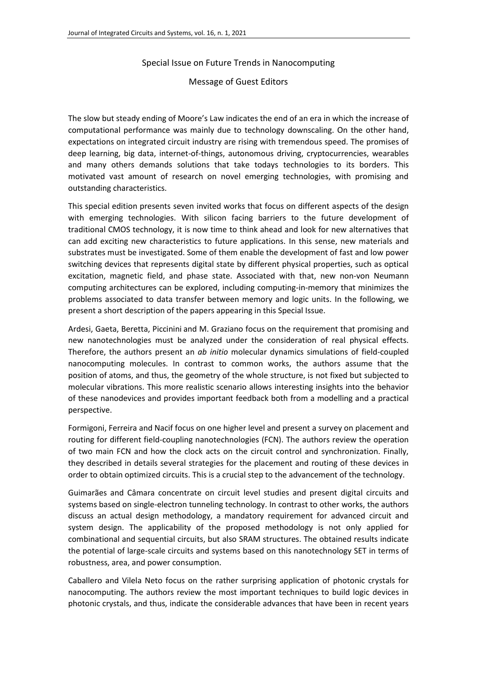## Special Issue on Future Trends in Nanocomputing

## Message of Guest Editors

The slow but steady ending of Moore's Law indicates the end of an era in which the increase of computational performance was mainly due to technology downscaling. On the other hand, expectations on integrated circuit industry are rising with tremendous speed. The promises of deep learning, big data, internet-of-things, autonomous driving, cryptocurrencies, wearables and many others demands solutions that take todays technologies to its borders. This motivated vast amount of research on novel emerging technologies, with promising and outstanding characteristics.

This special edition presents seven invited works that focus on different aspects of the design with emerging technologies. With silicon facing barriers to the future development of traditional CMOS technology, it is now time to think ahead and look for new alternatives that can add exciting new characteristics to future applications. In this sense, new materials and substrates must be investigated. Some of them enable the development of fast and low power switching devices that represents digital state by different physical properties, such as optical excitation, magnetic field, and phase state. Associated with that, new non-von Neumann computing architectures can be explored, including computing-in-memory that minimizes the problems associated to data transfer between memory and logic units. In the following, we present a short description of the papers appearing in this Special Issue.

Ardesi, Gaeta, Beretta, Piccinini and M. Graziano focus on the requirement that promising and new nanotechnologies must be analyzed under the consideration of real physical effects. Therefore, the authors present an *ab initio* molecular dynamics simulations of field-coupled nanocomputing molecules. In contrast to common works, the authors assume that the position of atoms, and thus, the geometry of the whole structure, is not fixed but subjected to molecular vibrations. This more realistic scenario allows interesting insights into the behavior of these nanodevices and provides important feedback both from a modelling and a practical perspective.

Formigoni, Ferreira and Nacif focus on one higher level and present a survey on placement and routing for different field-coupling nanotechnologies (FCN). The authors review the operation of two main FCN and how the clock acts on the circuit control and synchronization. Finally, they described in details several strategies for the placement and routing of these devices in order to obtain optimized circuits. This is a crucial step to the advancement of the technology.

Guimarães and Câmara concentrate on circuit level studies and present digital circuits and systems based on single-electron tunneling technology. In contrast to other works, the authors discuss an actual design methodology, a mandatory requirement for advanced circuit and system design. The applicability of the proposed methodology is not only applied for combinational and sequential circuits, but also SRAM structures. The obtained results indicate the potential of large-scale circuits and systems based on this nanotechnology SET in terms of robustness, area, and power consumption.

Caballero and Vilela Neto focus on the rather surprising application of photonic crystals for nanocomputing. The authors review the most important techniques to build logic devices in photonic crystals, and thus, indicate the considerable advances that have been in recent years